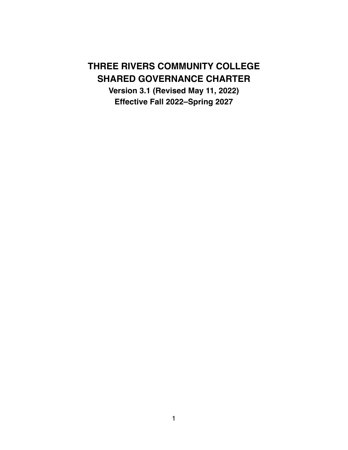# **THREE RIVERS COMMUNITY COLLEGE SHARED GOVERNANCE CHARTER**

**Version 3.1 (Revised May 11, 2022) Effective Fall 2022–Spring 2027**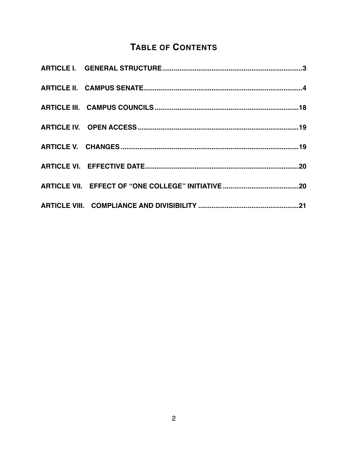## **TABLE OF CONTENTS**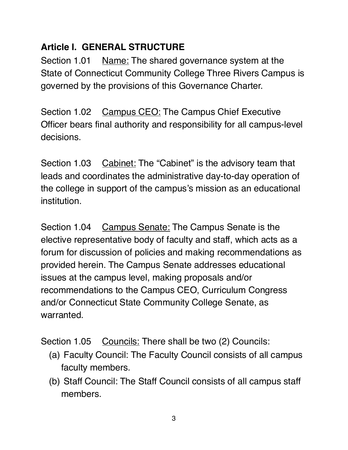## **Article I. GENERAL STRUCTURE**

Section 1.01 Name: The shared governance system at the State of Connecticut Community College Three Rivers Campus is governed by the provisions of this Governance Charter.

Section 1.02 Campus CEO: The Campus Chief Executive Officer bears final authority and responsibility for all campus-level decisions.

Section 1.03 Cabinet: The "Cabinet" is the advisory team that leads and coordinates the administrative day-to-day operation of the college in support of the campus's mission as an educational institution.

Section 1.04 Campus Senate: The Campus Senate is the elective representative body of faculty and staff, which acts as a forum for discussion of policies and making recommendations as provided herein. The Campus Senate addresses educational issues at the campus level, making proposals and/or recommendations to the Campus CEO, Curriculum Congress and/or Connecticut State Community College Senate, as warranted.

Section 1.05 Councils: There shall be two (2) Councils:

- (a) Faculty Council: The Faculty Council consists of all campus faculty members.
- (b) Staff Council: The Staff Council consists of all campus staff members.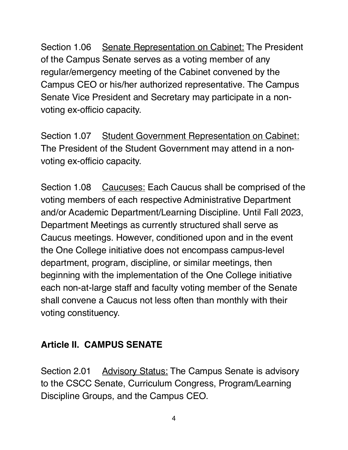Section 1.06 Senate Representation on Cabinet: The President of the Campus Senate serves as a voting member of any regular/emergency meeting of the Cabinet convened by the Campus CEO or his/her authorized representative. The Campus Senate Vice President and Secretary may participate in a nonvoting ex-officio capacity.

Section 1.07 Student Government Representation on Cabinet: The President of the Student Government may attend in a nonvoting ex-officio capacity.

Section 1.08 Caucuses: Each Caucus shall be comprised of the voting members of each respective Administrative Department and/or Academic Department/Learning Discipline. Until Fall 2023, Department Meetings as currently structured shall serve as Caucus meetings. However, conditioned upon and in the event the One College initiative does not encompass campus-level department, program, discipline, or similar meetings, then beginning with the implementation of the One College initiative each non-at-large staff and faculty voting member of the Senate shall convene a Caucus not less often than monthly with their voting constituency.

## **Article II. CAMPUS SENATE**

Section 2.01 Advisory Status: The Campus Senate is advisory to the CSCC Senate, Curriculum Congress, Program/Learning Discipline Groups, and the Campus CEO.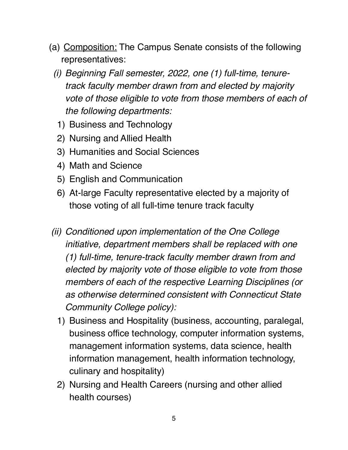- (a) Composition: The Campus Senate consists of the following representatives:
	- *(i) Beginning Fall semester, 2022, one (1) full-time, tenuretrack faculty member drawn from and elected by majority vote of those eligible to vote from those members of each of the following departments:*
		- 1) Business and Technology
	- 2) Nursing and Allied Health
	- 3) Humanities and Social Sciences
	- 4) Math and Science
	- 5) English and Communication
	- 6) At-large Faculty representative elected by a majority of those voting of all full-time tenure track faculty
- *(ii) Conditioned upon implementation of the One College initiative, department members shall be replaced with one (1) full-time, tenure-track faculty member drawn from and elected by majority vote of those eligible to vote from those members of each of the respective Learning Disciplines (or as otherwise determined consistent with Connecticut State Community College policy):*
	- 1) Business and Hospitality (business, accounting, paralegal, business office technology, computer information systems, management information systems, data science, health information management, health information technology, culinary and hospitality)
	- 2) Nursing and Health Careers (nursing and other allied health courses)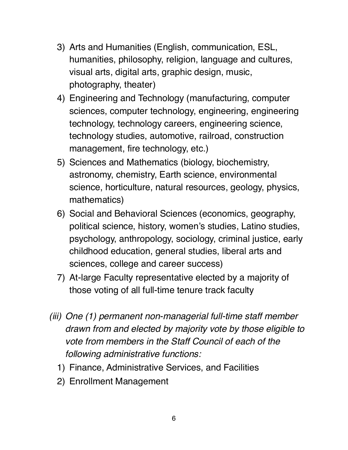- 3) Arts and Humanities (English, communication, ESL, humanities, philosophy, religion, language and cultures, visual arts, digital arts, graphic design, music, photography, theater)
- 4) Engineering and Technology (manufacturing, computer sciences, computer technology, engineering, engineering technology, technology careers, engineering science, technology studies, automotive, railroad, construction management, fire technology, etc.)
- 5) Sciences and Mathematics (biology, biochemistry, astronomy, chemistry, Earth science, environmental science, horticulture, natural resources, geology, physics, mathematics)
- 6) Social and Behavioral Sciences (economics, geography, political science, history, women's studies, Latino studies, psychology, anthropology, sociology, criminal justice, early childhood education, general studies, liberal arts and sciences, college and career success)
- 7) At-large Faculty representative elected by a majority of those voting of all full-time tenure track faculty
- *(iii) One (1) permanent non-managerial full-time staff member drawn from and elected by majority vote by those eligible to vote from members in the Staff Council of each of the following administrative functions:*
	- 1) Finance, Administrative Services, and Facilities
	- 2) Enrollment Management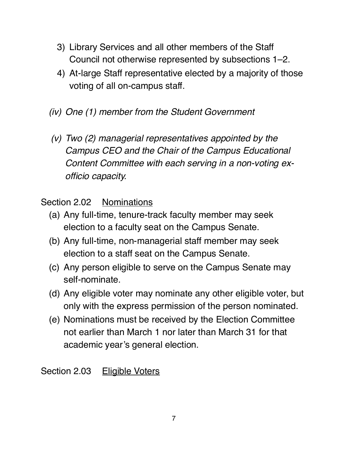- 3) Library Services and all other members of the Staff Council not otherwise represented by subsections 1–2.
- 4) At-large Staff representative elected by a majority of those voting of all on-campus staff.
- *(iv) One (1) member from the Student Government*
- *(v) Two (2) managerial representatives appointed by the Campus CEO and the Chair of the Campus Educational Content Committee with each serving in a non-voting exofficio capacity.*

Section 2.02 Nominations

- (a) Any full-time, tenure-track faculty member may seek election to a faculty seat on the Campus Senate.
- (b) Any full-time, non-managerial staff member may seek election to a staff seat on the Campus Senate.
- (c) Any person eligible to serve on the Campus Senate may self-nominate.
- (d) Any eligible voter may nominate any other eligible voter, but only with the express permission of the person nominated.
- (e) Nominations must be received by the Election Committee not earlier than March 1 nor later than March 31 for that academic year's general election.

Section 2.03 Eligible Voters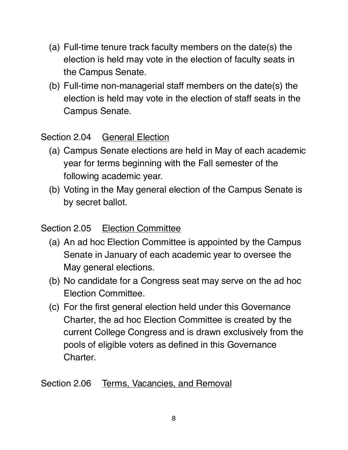- (a) Full-time tenure track faculty members on the date(s) the election is held may vote in the election of faculty seats in the Campus Senate.
- (b) Full-time non-managerial staff members on the date(s) the election is held may vote in the election of staff seats in the Campus Senate.

#### Section 2.04 General Election

- (a) Campus Senate elections are held in May of each academic year for terms beginning with the Fall semester of the following academic year.
- (b) Voting in the May general election of the Campus Senate is by secret ballot.

## Section 2.05 Election Committee

- (a) An ad hoc Election Committee is appointed by the Campus Senate in January of each academic year to oversee the May general elections.
- (b) No candidate for a Congress seat may serve on the ad hoc Election Committee.
- (c) For the first general election held under this Governance Charter, the ad hoc Election Committee is created by the current College Congress and is drawn exclusively from the pools of eligible voters as defined in this Governance Charter.

Section 2.06 Terms, Vacancies, and Removal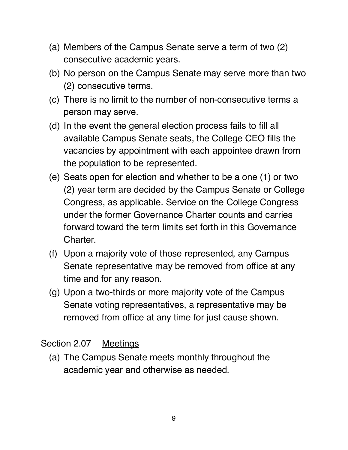- (a) Members of the Campus Senate serve a term of two (2) consecutive academic years.
- (b) No person on the Campus Senate may serve more than two (2) consecutive terms.
- (c) There is no limit to the number of non-consecutive terms a person may serve.
- (d) In the event the general election process fails to fill all available Campus Senate seats, the College CEO fills the vacancies by appointment with each appointee drawn from the population to be represented.
- (e) Seats open for election and whether to be a one (1) or two (2) year term are decided by the Campus Senate or College Congress, as applicable. Service on the College Congress under the former Governance Charter counts and carries forward toward the term limits set forth in this Governance Charter.
- (f) Upon a majority vote of those represented, any Campus Senate representative may be removed from office at any time and for any reason.
- (g) Upon a two-thirds or more majority vote of the Campus Senate voting representatives, a representative may be removed from office at any time for just cause shown.

Section 2.07 Meetings

(a) The Campus Senate meets monthly throughout the academic year and otherwise as needed.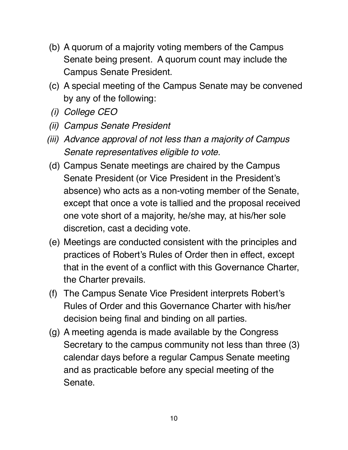- (b) A quorum of a majority voting members of the Campus Senate being present. A quorum count may include the Campus Senate President.
- (c) A special meeting of the Campus Senate may be convened by any of the following:
- *(i) College CEO*
- *(ii) Campus Senate President*
- *(iii) Advance approval of not less than a majority of Campus Senate representatives eligible to vote.*
- (d) Campus Senate meetings are chaired by the Campus Senate President (or Vice President in the President's absence) who acts as a non-voting member of the Senate, except that once a vote is tallied and the proposal received one vote short of a majority, he/she may, at his/her sole discretion, cast a deciding vote.
- (e) Meetings are conducted consistent with the principles and practices of Robert's Rules of Order then in effect, except that in the event of a conflict with this Governance Charter, the Charter prevails.
- (f) The Campus Senate Vice President interprets Robert's Rules of Order and this Governance Charter with his/her decision being final and binding on all parties.
- (g) A meeting agenda is made available by the Congress Secretary to the campus community not less than three (3) calendar days before a regular Campus Senate meeting and as practicable before any special meeting of the Senate.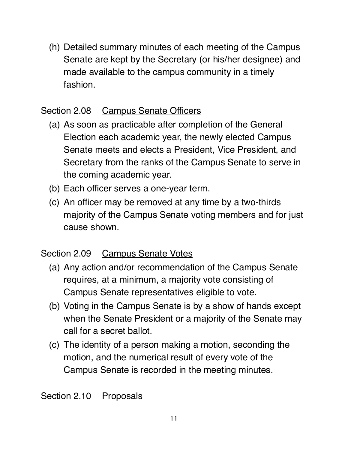(h) Detailed summary minutes of each meeting of the Campus Senate are kept by the Secretary (or his/her designee) and made available to the campus community in a timely fashion.

## Section 2.08 Campus Senate Officers

- (a) As soon as practicable after completion of the General Election each academic year, the newly elected Campus Senate meets and elects a President, Vice President, and Secretary from the ranks of the Campus Senate to serve in the coming academic year.
- (b) Each officer serves a one-year term.
- (c) An officer may be removed at any time by a two-thirds majority of the Campus Senate voting members and for just cause shown.

## Section 2.09 Campus Senate Votes

- (a) Any action and/or recommendation of the Campus Senate requires, at a minimum, a majority vote consisting of Campus Senate representatives eligible to vote.
- (b) Voting in the Campus Senate is by a show of hands except when the Senate President or a majority of the Senate may call for a secret ballot.
- (c) The identity of a person making a motion, seconding the motion, and the numerical result of every vote of the Campus Senate is recorded in the meeting minutes.

Section 2.10 Proposals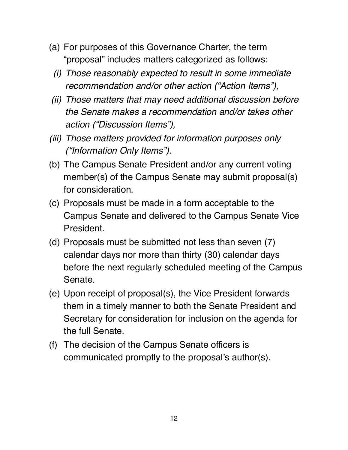- (a) For purposes of this Governance Charter, the term "proposal" includes matters categorized as follows:
	- *(i) Those reasonably expected to result in some immediate recommendation and/or other action ("Action Items"),*
- *(ii) Those matters that may need additional discussion before the Senate makes a recommendation and/or takes other action ("Discussion Items"),*
- *(iii) Those matters provided for information purposes only ("Information Only Items").*
- (b) The Campus Senate President and/or any current voting member(s) of the Campus Senate may submit proposal(s) for consideration.
- (c) Proposals must be made in a form acceptable to the Campus Senate and delivered to the Campus Senate Vice President.
- (d) Proposals must be submitted not less than seven (7) calendar days nor more than thirty (30) calendar days before the next regularly scheduled meeting of the Campus Senate.
- (e) Upon receipt of proposal(s), the Vice President forwards them in a timely manner to both the Senate President and Secretary for consideration for inclusion on the agenda for the full Senate.
- (f) The decision of the Campus Senate officers is communicated promptly to the proposal's author(s).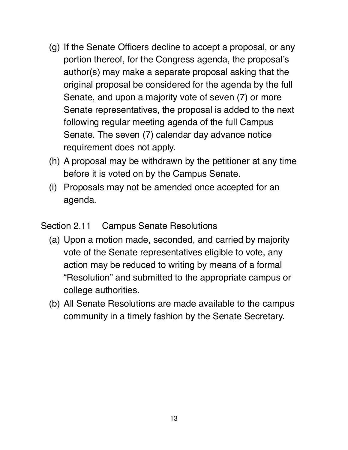- (g) If the Senate Officers decline to accept a proposal, or any portion thereof, for the Congress agenda, the proposal's author(s) may make a separate proposal asking that the original proposal be considered for the agenda by the full Senate, and upon a majority vote of seven (7) or more Senate representatives, the proposal is added to the next following regular meeting agenda of the full Campus Senate. The seven (7) calendar day advance notice requirement does not apply.
- (h) A proposal may be withdrawn by the petitioner at any time before it is voted on by the Campus Senate.
- (i) Proposals may not be amended once accepted for an agenda.

#### Section 2.11 Campus Senate Resolutions

- (a) Upon a motion made, seconded, and carried by majority vote of the Senate representatives eligible to vote, any action may be reduced to writing by means of a formal "Resolution" and submitted to the appropriate campus or college authorities.
- (b) All Senate Resolutions are made available to the campus community in a timely fashion by the Senate Secretary.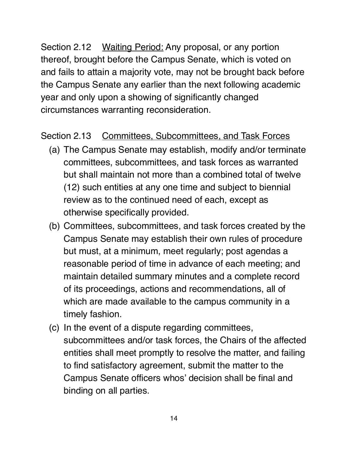Section 2.12 Waiting Period: Any proposal, or any portion thereof, brought before the Campus Senate, which is voted on and fails to attain a majority vote, may not be brought back before the Campus Senate any earlier than the next following academic year and only upon a showing of significantly changed circumstances warranting reconsideration.

#### Section 2.13 Committees, Subcommittees, and Task Forces

- (a) The Campus Senate may establish, modify and/or terminate committees, subcommittees, and task forces as warranted but shall maintain not more than a combined total of twelve (12) such entities at any one time and subject to biennial review as to the continued need of each, except as otherwise specifically provided.
- (b) Committees, subcommittees, and task forces created by the Campus Senate may establish their own rules of procedure but must, at a minimum, meet regularly; post agendas a reasonable period of time in advance of each meeting; and maintain detailed summary minutes and a complete record of its proceedings, actions and recommendations, all of which are made available to the campus community in a timely fashion.
- (c) In the event of a dispute regarding committees, subcommittees and/or task forces, the Chairs of the affected entities shall meet promptly to resolve the matter, and failing to find satisfactory agreement, submit the matter to the Campus Senate officers whos' decision shall be final and binding on all parties.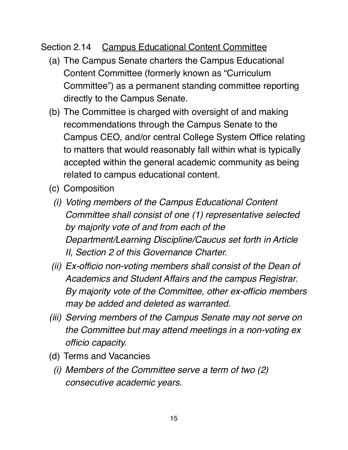## Section 2.14 Campus Educational Content Committee

- (a) The Campus Senate charters the Campus Educational Content Committee (formerly known as "Curriculum Committee") as a permanent standing committee reporting directly to the Campus Senate.
- (b) The Committee is charged with oversight of and making recommendations through the Campus Senate to the Campus CEO, and/or central College System Office relating to matters that would reasonably fall within what is typically accepted within the general academic community as being related to campus educational content.
- (c) Composition
	- *(i) Voting members of the Campus Educational Content Committee shall consist of one (1) representative selected by majority vote of and from each of the Department/Learning Discipline/Caucus set forth in Article II, Section 2 of this Governance Charter.*
- *(ii) Ex-officio non-voting members shall consist of the Dean of Academics and Student Affairs and the campus Registrar. By majority vote of the Committee, other ex-officio members may be added and deleted as warranted.*
- *(iii) Serving members of the Campus Senate may not serve on the Committee but may attend meetings in a non-voting ex officio capacity.*
- (d) Terms and Vacancies
	- *(i) Members of the Committee serve a term of two (2) consecutive academic years.*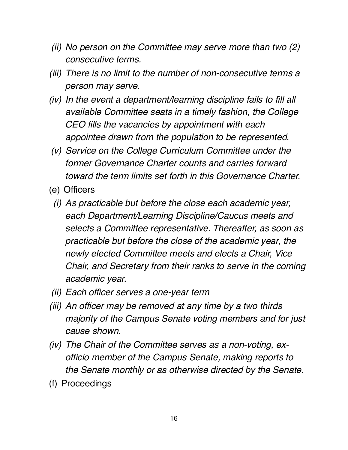- *(ii) No person on the Committee may serve more than two (2) consecutive terms.*
- *(iii) There is no limit to the number of non-consecutive terms a person may serve.*
- *(iv) In the event a department/learning discipline fails to fill all available Committee seats in a timely fashion, the College CEO fills the vacancies by appointment with each appointee drawn from the population to be represented.*
- *(v) Service on the College Curriculum Committee under the former Governance Charter counts and carries forward toward the term limits set forth in this Governance Charter.*
- (e) Officers
	- *(i) As practicable but before the close each academic year, each Department/Learning Discipline/Caucus meets and selects a Committee representative. Thereafter, as soon as practicable but before the close of the academic year, the newly elected Committee meets and elects a Chair, Vice Chair, and Secretary from their ranks to serve in the coming academic year.*
- *(ii) Each officer serves a one-year term*
- *(iii) An officer may be removed at any time by a two thirds majority of the Campus Senate voting members and for just cause shown.*
- *(iv) The Chair of the Committee serves as a non-voting, exofficio member of the Campus Senate, making reports to the Senate monthly or as otherwise directed by the Senate.*
- (f) Proceedings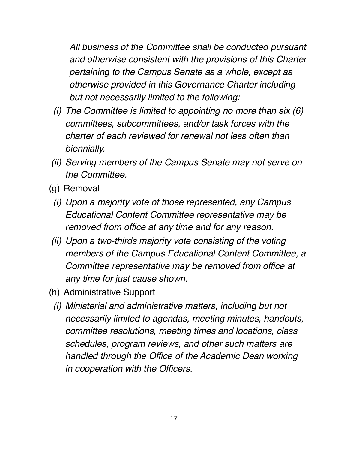*All business of the Committee shall be conducted pursuant and otherwise consistent with the provisions of this Charter pertaining to the Campus Senate as a whole, except as otherwise provided in this Governance Charter including but not necessarily limited to the following:*

- *(i) The Committee is limited to appointing no more than six (6) committees, subcommittees, and/or task forces with the charter of each reviewed for renewal not less often than biennially.*
- *(ii) Serving members of the Campus Senate may not serve on the Committee.*
- (g) Removal
	- *(i) Upon a majority vote of those represented, any Campus Educational Content Committee representative may be removed from office at any time and for any reason.*
- *(ii) Upon a two-thirds majority vote consisting of the voting members of the Campus Educational Content Committee, a Committee representative may be removed from office at any time for just cause shown.*
- (h) Administrative Support
	- *(i) Ministerial and administrative matters, including but not necessarily limited to agendas, meeting minutes, handouts, committee resolutions, meeting times and locations, class schedules, program reviews, and other such matters are handled through the Office of the Academic Dean working in cooperation with the Officers.*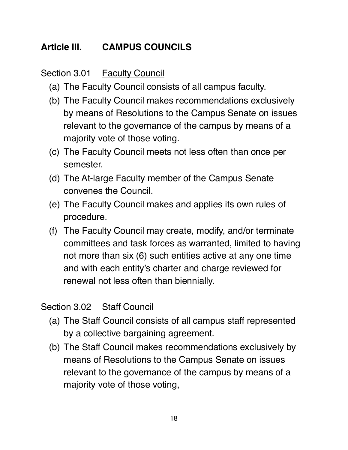## **Article III. CAMPUS COUNCILS**

Section 3.01 Faculty Council

- (a) The Faculty Council consists of all campus faculty.
- (b) The Faculty Council makes recommendations exclusively by means of Resolutions to the Campus Senate on issues relevant to the governance of the campus by means of a majority vote of those voting.
- (c) The Faculty Council meets not less often than once per semester.
- (d) The At-large Faculty member of the Campus Senate convenes the Council.
- (e) The Faculty Council makes and applies its own rules of procedure.
- (f) The Faculty Council may create, modify, and/or terminate committees and task forces as warranted, limited to having not more than six (6) such entities active at any one time and with each entity's charter and charge reviewed for renewal not less often than biennially.

## Section 3.02 Staff Council

- (a) The Staff Council consists of all campus staff represented by a collective bargaining agreement.
- (b) The Staff Council makes recommendations exclusively by means of Resolutions to the Campus Senate on issues relevant to the governance of the campus by means of a majority vote of those voting,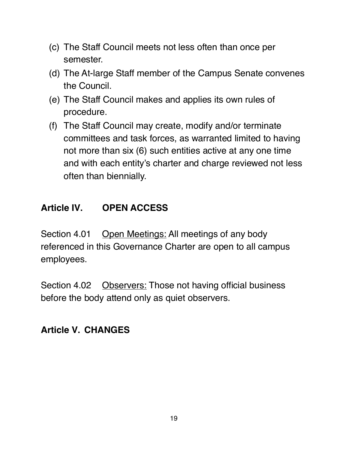- (c) The Staff Council meets not less often than once per semester.
- (d) The At-large Staff member of the Campus Senate convenes the Council.
- (e) The Staff Council makes and applies its own rules of procedure.
- (f) The Staff Council may create, modify and/or terminate committees and task forces, as warranted limited to having not more than six (6) such entities active at any one time and with each entity's charter and charge reviewed not less often than biennially.

## **Article IV. OPEN ACCESS**

Section 4.01 Open Meetings: All meetings of any body referenced in this Governance Charter are open to all campus employees.

Section 4.02 Observers: Those not having official business before the body attend only as quiet observers.

## **Article V. CHANGES**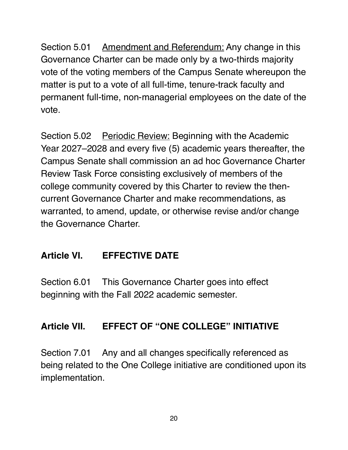Section 5.01 Amendment and Referendum: Any change in this Governance Charter can be made only by a two-thirds majority vote of the voting members of the Campus Senate whereupon the matter is put to a vote of all full-time, tenure-track faculty and permanent full-time, non-managerial employees on the date of the vote.

Section 5.02 Periodic Review: Beginning with the Academic Year 2027–2028 and every five (5) academic years thereafter, the Campus Senate shall commission an ad hoc Governance Charter Review Task Force consisting exclusively of members of the college community covered by this Charter to review the thencurrent Governance Charter and make recommendations, as warranted, to amend, update, or otherwise revise and/or change the Governance Charter.

## **Article VI. EFFECTIVE DATE**

Section 6.01 This Governance Charter goes into effect beginning with the Fall 2022 academic semester.

## **Article VII. EFFECT OF "ONE COLLEGE" INITIATIVE**

Section 7.01 Any and all changes specifically referenced as being related to the One College initiative are conditioned upon its implementation.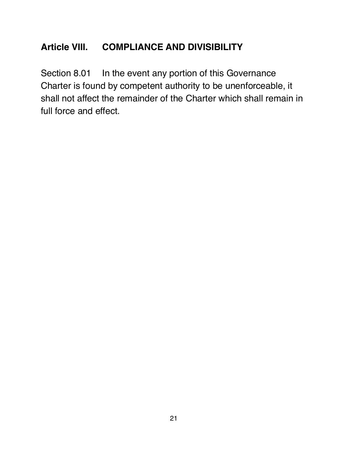## **Article VIII. COMPLIANCE AND DIVISIBILITY**

Section 8.01 In the event any portion of this Governance Charter is found by competent authority to be unenforceable, it shall not affect the remainder of the Charter which shall remain in full force and effect.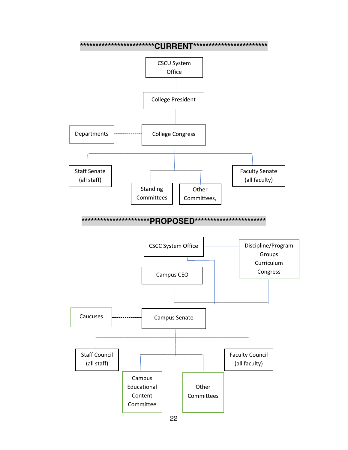